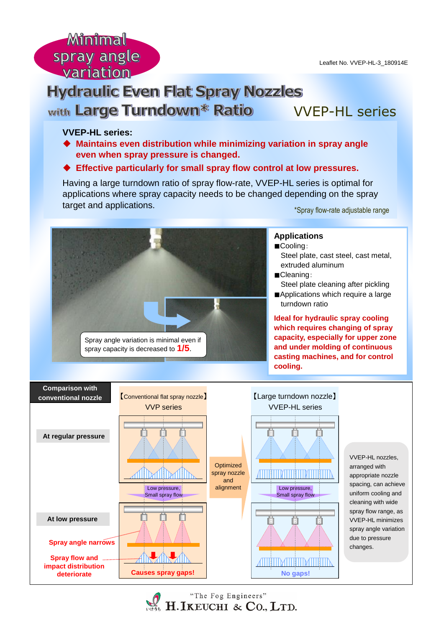Minimal spray angle variation.

# **Hydraulic Even Flat Spray Nozzles** with Large Turndown\* Ratio VVEP-HL series

## **VVEP-HL series:**

- **Maintains even distribution while minimizing variation in spray angle even when spray pressure is changed.**
- **Effective particularly for small spray flow control at low pressures.**

Having a large turndown ratio of spray flow-rate, VVEP-HL series is optimal for applications where spray capacity needs to be changed depending on the spray target and applications.

\*Spray flow-rate adjustable range